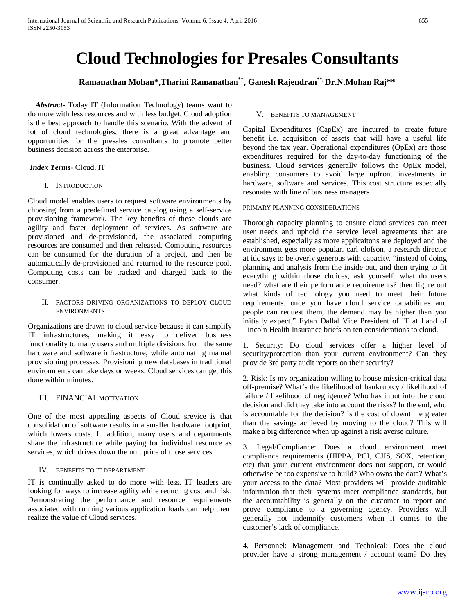# **Cloud Technologies for Presales Consultants**

# **Ramanathan Mohan\*,Tharini Ramanathan\*\* , Ganesh Rajendran\*\*, Dr.N.Mohan Raj\*\***

 *Abstract***-** Today IT (Information Technology) teams want to do more with less resources and with less budget. Cloud adoption is the best approach to handle this scenario. With the advent of lot of cloud technologies, there is a great advantage and opportunities for the presales consultants to promote better business decision across the enterprise.

#### *Index Terms*- Cloud, IT

#### I. INTRODUCTION

Cloud model enables users to request software environments by choosing from a predefined service catalog using a self-service provisioning framework. The key benefits of these clouds are agility and faster deployment of services. As software are provisioned and de-provisioned, the associated computing resources are consumed and then released. Computing resources can be consumed for the duration of a project, and then be automatically de-provisioned and returned to the resource pool. Computing costs can be tracked and charged back to the consumer.

II. FACTORS DRIVING ORGANIZATIONS TO DEPLOY CLOUD ENVIRONMENTS

Organizations are drawn to cloud service because it can simplify IT infrastructures, making it easy to deliver business functionality to many users and multiple divisions from the same hardware and software infrastructure, while automating manual provisioning processes. Provisioning new databases in traditional environments can take days or weeks. Cloud services can get this done within minutes.

#### III. FINANCIAL MOTIVATION

One of the most appealing aspects of Cloud srevice is that consolidation of software results in a smaller hardware footprint, which lowers costs. In addition, many users and departments share the infrastructure while paying for individual resource as services, which drives down the unit price of those services.

#### IV. BENEFITS TO IT DEPARTMENT

IT is continually asked to do more with less. IT leaders are looking for ways to increase agility while reducing cost and risk. Demonstrating the performance and resource requirements associated with running various application loads can help them realize the value of Cloud services.

### V. BENEFITS TO MANAGEMENT

Capital Expenditures (CapEx) are incurred to create future benefit i.e. acquisition of assets that will have a useful life beyond the tax year. Operational expenditures (OpEx) are those expenditures required for the day-to-day functioning of the business. Cloud services generally follows the OpEx model, enabling consumers to avoid large upfront investments in hardware, software and services. This cost structure especially resonates with line of business managers

#### PRIMARY PLANNING CONSIDERATIONS

Thorough capacity planning to ensure cloud srevices can meet user needs and uphold the service level agreements that are established, especially as more applicaitons are deployed and the environment gets more popular. carl olofson, a research director at idc says to be overly generous with capacity. "instead of doing planning and analysis from the inside out, and then trying to fit everything within those choices, ask yourself: what do users need? what are their performance requirements? then figure out what kinds of technology you need to meet their future requirements. once you have cloud service capabilities and people can request them, the demand may be higher than you initially expect." Eytan Dallal Vice President of IT at Land of Lincoln Health Insurance briefs on ten considerations to cloud.

1. Security: Do cloud services offer a higher level of security/protection than your current environment? Can they provide 3rd party audit reports on their security?

2. Risk: Is my organization willing to house mission-critical data off-premise? What's the likelihood of bankruptcy / likelihood of failure / likelihood of negligence? Who has input into the cloud decision and did they take into account the risks? In the end, who is accountable for the decision? Is the cost of downtime greater than the savings achieved by moving to the cloud? This will make a big difference when up against a risk averse culture.

3. Legal/Compliance: Does a cloud environment meet compliance requirements (HIPPA, PCI, CJIS, SOX, retention, etc) that your current environment does not support, or would otherwise be too expensive to build? Who owns the data? What's your access to the data? Most providers will provide auditable information that their systems meet compliance standards, but the accountability is generally on the customer to report and prove compliance to a governing agency. Providers will generally not indemnify customers when it comes to the customer's lack of compliance.

4. Personnel: Management and Technical: Does the cloud provider have a strong management / account team? Do they